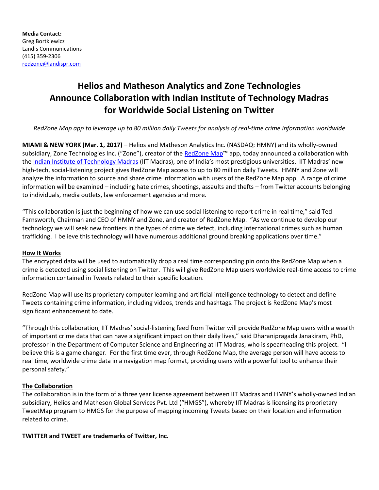# **Helios and Matheson Analytics and Zone Technologies Announce Collaboration with Indian Institute of Technology Madras for Worldwide Social Listening on Twitter**

*RedZone Map app to leverage up to 80 million daily Tweets for analysis of real-time crime information worldwide*

**MIAMI & NEW YORK (Mar. 1, 2017)** – Helios and Matheson Analytics Inc. (NASDAQ: HMNY) and its wholly-owned subsidiary, Zone Technologies Inc. ("Zone"), creator of the [RedZone Map](http://www.redzonemap.com/)™ app, today announced a collaboration with the [Indian Institute of Technology Madras](https://www.iitm.ac.in/) (IIT Madras), one of India's most prestigious universities. IIT Madras' new high-tech, social-listening project gives RedZone Map access to up to 80 million daily Tweets. HMNY and Zone will analyze the information to source and share crime information with users of the RedZone Map app. A range of crime information will be examined – including hate crimes, shootings, assaults and thefts – from Twitter accounts belonging to individuals, media outlets, law enforcement agencies and more.

"This collaboration is just the beginning of how we can use social listening to report crime in real time," said Ted Farnsworth, Chairman and CEO of HMNY and Zone, and creator of RedZone Map. "As we continue to develop our technology we will seek new frontiers in the types of crime we detect, including international crimes such as human trafficking. I believe this technology will have numerous additional ground breaking applications over time."

# **How It Works**

The encrypted data will be used to automatically drop a real time corresponding pin onto the RedZone Map when a crime is detected using social listening on Twitter. This will give RedZone Map users worldwide real-time access to crime information contained in Tweets related to their specific location.

RedZone Map will use its proprietary computer learning and artificial intelligence technology to detect and define Tweets containing crime information, including videos, trends and hashtags. The project is RedZone Map's most significant enhancement to date.

"Through this collaboration, IIT Madras' social-listening feed from Twitter will provide RedZone Map users with a wealth of important crime data that can have a significant impact on their daily lives," said Dharanipragada Janakiram, PhD, professor in the Department of Computer Science and Engineering at IIT Madras, who is spearheading this project. "I believe this is a game changer. For the first time ever, through RedZone Map, the average person will have access to real time, worldwide crime data in a navigation map format, providing users with a powerful tool to enhance their personal safety."

# **The Collaboration**

The collaboration is in the form of a three year license agreement between IIT Madras and HMNY's wholly-owned Indian subsidiary, Helios and Matheson Global Services Pvt. Ltd ("HMGS"), whereby IIT Madras is licensing its proprietary TweetMap program to HMGS for the purpose of mapping incoming Tweets based on their location and information related to crime.

**TWITTER and TWEET are trademarks of Twitter, Inc.**